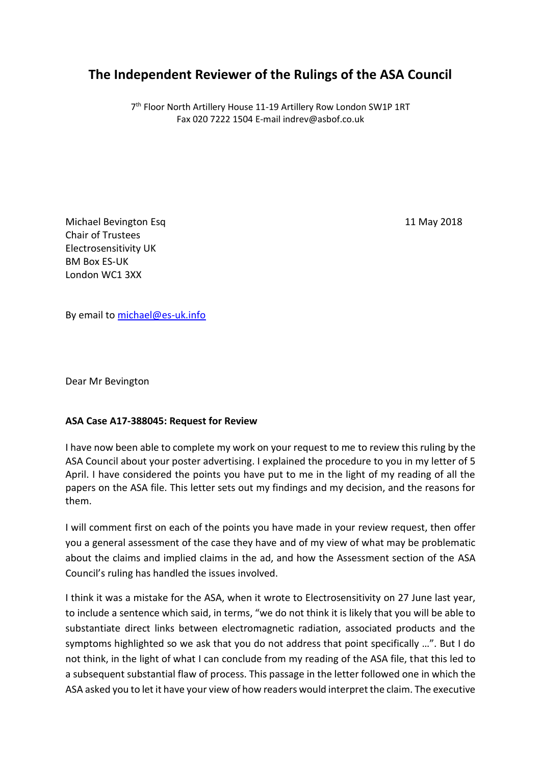## **The Independent Reviewer of the Rulings of the ASA Council**

7<sup>th</sup> Floor North Artillery House 11-19 Artillery Row London SW1P 1RT Fax 020 7222 1504 E-mail indrev@asbof.co.uk

Michael Bevington Esq 11 May 2018 Chair of Trustees Electrosensitivity UK BM Box ES-UK London WC1 3XX

By email to [michael@es-uk.info](mailto:michael@es-uk.info)

Dear Mr Bevington

## **ASA Case A17-388045: Request for Review**

I have now been able to complete my work on your request to me to review this ruling by the ASA Council about your poster advertising. I explained the procedure to you in my letter of 5 April. I have considered the points you have put to me in the light of my reading of all the papers on the ASA file. This letter sets out my findings and my decision, and the reasons for them.

I will comment first on each of the points you have made in your review request, then offer you a general assessment of the case they have and of my view of what may be problematic about the claims and implied claims in the ad, and how the Assessment section of the ASA Council's ruling has handled the issues involved.

I think it was a mistake for the ASA, when it wrote to Electrosensitivity on 27 June last year, to include a sentence which said, in terms, "we do not think it is likely that you will be able to substantiate direct links between electromagnetic radiation, associated products and the symptoms highlighted so we ask that you do not address that point specifically …". But I do not think, in the light of what I can conclude from my reading of the ASA file, that this led to a subsequent substantial flaw of process. This passage in the letter followed one in which the ASA asked you to let it have your view of how readers would interpret the claim. The executive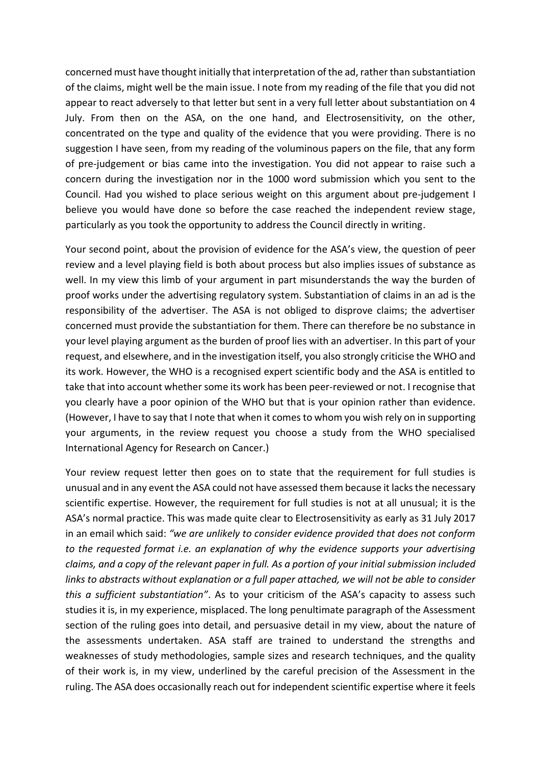concerned must have thought initially that interpretation of the ad, ratherthan substantiation of the claims, might well be the main issue. I note from my reading of the file that you did not appear to react adversely to that letter but sent in a very full letter about substantiation on 4 July. From then on the ASA, on the one hand, and Electrosensitivity, on the other, concentrated on the type and quality of the evidence that you were providing. There is no suggestion I have seen, from my reading of the voluminous papers on the file, that any form of pre-judgement or bias came into the investigation. You did not appear to raise such a concern during the investigation nor in the 1000 word submission which you sent to the Council. Had you wished to place serious weight on this argument about pre-judgement I believe you would have done so before the case reached the independent review stage, particularly as you took the opportunity to address the Council directly in writing.

Your second point, about the provision of evidence for the ASA's view, the question of peer review and a level playing field is both about process but also implies issues of substance as well. In my view this limb of your argument in part misunderstands the way the burden of proof works under the advertising regulatory system. Substantiation of claims in an ad is the responsibility of the advertiser. The ASA is not obliged to disprove claims; the advertiser concerned must provide the substantiation for them. There can therefore be no substance in your level playing argument as the burden of proof lies with an advertiser. In this part of your request, and elsewhere, and in the investigation itself, you also strongly criticise the WHO and its work. However, the WHO is a recognised expert scientific body and the ASA is entitled to take that into account whether some its work has been peer-reviewed or not. I recognise that you clearly have a poor opinion of the WHO but that is your opinion rather than evidence. (However, I have to say that I note that when it comes to whom you wish rely on in supporting your arguments, in the review request you choose a study from the WHO specialised International Agency for Research on Cancer.)

Your review request letter then goes on to state that the requirement for full studies is unusual and in any event the ASA could not have assessed them because it lacks the necessary scientific expertise. However, the requirement for full studies is not at all unusual; it is the ASA's normal practice. This was made quite clear to Electrosensitivity as early as 31 July 2017 in an email which said: *"we are unlikely to consider evidence provided that does not conform to the requested format i.e. an explanation of why the evidence supports your advertising claims, and a copy of the relevant paper in full. As a portion of your initial submission included links to abstracts without explanation or a full paper attached, we will not be able to consider this a sufficient substantiation"*. As to your criticism of the ASA's capacity to assess such studies it is, in my experience, misplaced. The long penultimate paragraph of the Assessment section of the ruling goes into detail, and persuasive detail in my view, about the nature of the assessments undertaken. ASA staff are trained to understand the strengths and weaknesses of study methodologies, sample sizes and research techniques, and the quality of their work is, in my view, underlined by the careful precision of the Assessment in the ruling. The ASA does occasionally reach out for independent scientific expertise where it feels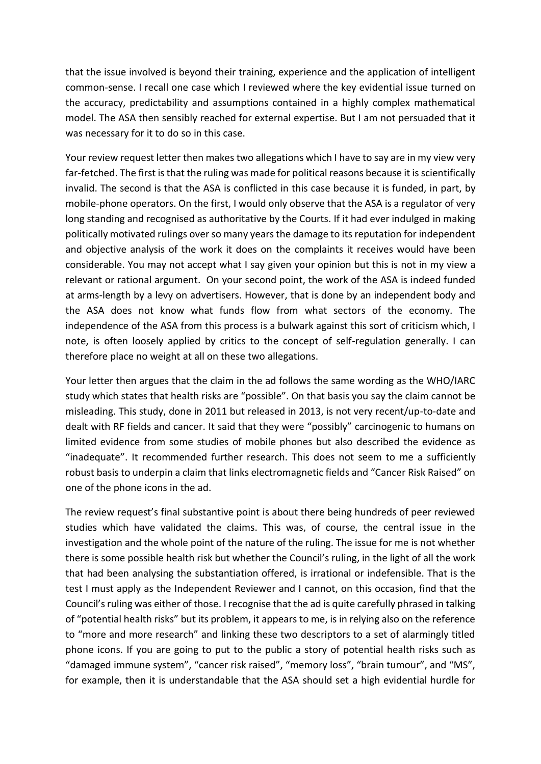that the issue involved is beyond their training, experience and the application of intelligent common-sense. I recall one case which I reviewed where the key evidential issue turned on the accuracy, predictability and assumptions contained in a highly complex mathematical model. The ASA then sensibly reached for external expertise. But I am not persuaded that it was necessary for it to do so in this case.

Your review request letter then makes two allegations which I have to say are in my view very far-fetched. The first is that the ruling was made for political reasons because it is scientifically invalid. The second is that the ASA is conflicted in this case because it is funded, in part, by mobile-phone operators. On the first, I would only observe that the ASA is a regulator of very long standing and recognised as authoritative by the Courts. If it had ever indulged in making politically motivated rulings over so many years the damage to its reputation for independent and objective analysis of the work it does on the complaints it receives would have been considerable. You may not accept what I say given your opinion but this is not in my view a relevant or rational argument. On your second point, the work of the ASA is indeed funded at arms-length by a levy on advertisers. However, that is done by an independent body and the ASA does not know what funds flow from what sectors of the economy. The independence of the ASA from this process is a bulwark against this sort of criticism which, I note, is often loosely applied by critics to the concept of self-regulation generally. I can therefore place no weight at all on these two allegations.

Your letter then argues that the claim in the ad follows the same wording as the WHO/IARC study which states that health risks are "possible". On that basis you say the claim cannot be misleading. This study, done in 2011 but released in 2013, is not very recent/up-to-date and dealt with RF fields and cancer. It said that they were "possibly" carcinogenic to humans on limited evidence from some studies of mobile phones but also described the evidence as "inadequate". It recommended further research. This does not seem to me a sufficiently robust basis to underpin a claim that links electromagnetic fields and "Cancer Risk Raised" on one of the phone icons in the ad.

The review request's final substantive point is about there being hundreds of peer reviewed studies which have validated the claims. This was, of course, the central issue in the investigation and the whole point of the nature of the ruling. The issue for me is not whether there is some possible health risk but whether the Council's ruling, in the light of all the work that had been analysing the substantiation offered, is irrational or indefensible. That is the test I must apply as the Independent Reviewer and I cannot, on this occasion, find that the Council's ruling was either of those. I recognise that the ad is quite carefully phrased in talking of "potential health risks" but its problem, it appears to me, is in relying also on the reference to "more and more research" and linking these two descriptors to a set of alarmingly titled phone icons. If you are going to put to the public a story of potential health risks such as "damaged immune system", "cancer risk raised", "memory loss", "brain tumour", and "MS", for example, then it is understandable that the ASA should set a high evidential hurdle for